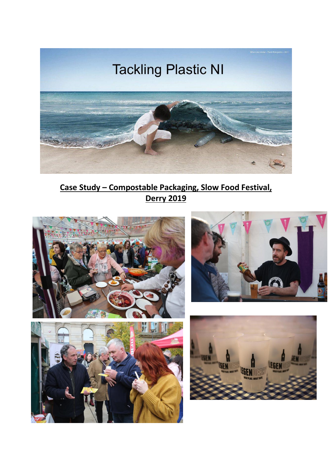## **Tackling Plastic NI**



**Case Study – Compostable Packaging, Slow Food Festival, Derry 2019**







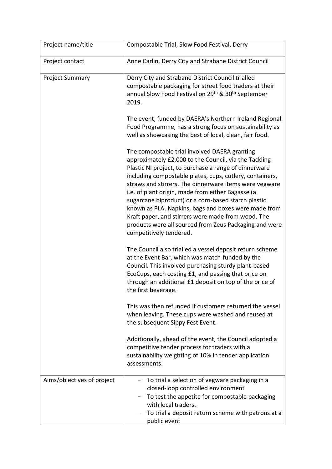| Project name/title         | Compostable Trial, Slow Food Festival, Derry                                                                                                                                                                                                                                                                                                                                                                                                                                                                                                                                                         |  |  |
|----------------------------|------------------------------------------------------------------------------------------------------------------------------------------------------------------------------------------------------------------------------------------------------------------------------------------------------------------------------------------------------------------------------------------------------------------------------------------------------------------------------------------------------------------------------------------------------------------------------------------------------|--|--|
| Project contact            | Anne Carlin, Derry City and Strabane District Council                                                                                                                                                                                                                                                                                                                                                                                                                                                                                                                                                |  |  |
| <b>Project Summary</b>     | Derry City and Strabane District Council trialled<br>compostable packaging for street food traders at their<br>annual Slow Food Festival on 29 <sup>th</sup> & 30 <sup>th</sup> September<br>2019.                                                                                                                                                                                                                                                                                                                                                                                                   |  |  |
|                            | The event, funded by DAERA's Northern Ireland Regional<br>Food Programme, has a strong focus on sustainability as<br>well as showcasing the best of local, clean, fair food.                                                                                                                                                                                                                                                                                                                                                                                                                         |  |  |
|                            | The compostable trial involved DAERA granting<br>approximately £2,000 to the Council, via the Tackling<br>Plastic NI project, to purchase a range of dinnerware<br>including compostable plates, cups, cutlery, containers,<br>straws and stirrers. The dinnerware items were vegware<br>i.e. of plant origin, made from either Bagasse (a<br>sugarcane biproduct) or a corn-based starch plastic<br>known as PLA. Napkins, bags and boxes were made from<br>Kraft paper, and stirrers were made from wood. The<br>products were all sourced from Zeus Packaging and were<br>competitively tendered. |  |  |
|                            | The Council also trialled a vessel deposit return scheme<br>at the Event Bar, which was match-funded by the<br>Council. This involved purchasing sturdy plant-based<br>EcoCups, each costing £1, and passing that price on<br>through an additional £1 deposit on top of the price of<br>the first beverage.                                                                                                                                                                                                                                                                                         |  |  |
|                            | This was then refunded if customers returned the vessel<br>when leaving. These cups were washed and reused at<br>the subsequent Sippy Fest Event.                                                                                                                                                                                                                                                                                                                                                                                                                                                    |  |  |
|                            | Additionally, ahead of the event, the Council adopted a<br>competitive tender process for traders with a<br>sustainability weighting of 10% in tender application<br>assessments.                                                                                                                                                                                                                                                                                                                                                                                                                    |  |  |
| Aims/objectives of project | To trial a selection of vegware packaging in a<br>closed-loop controlled environment<br>To test the appetite for compostable packaging<br>with local traders.<br>To trial a deposit return scheme with patrons at a<br>public event                                                                                                                                                                                                                                                                                                                                                                  |  |  |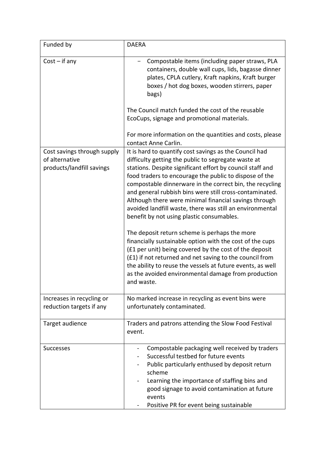| Funded by                                                                  | <b>DAERA</b>                                                                                                                                                                                                                                                                                                                                                                                                                                                                                                                                                                                                                                                                                                                                                                                                                                                                                       |
|----------------------------------------------------------------------------|----------------------------------------------------------------------------------------------------------------------------------------------------------------------------------------------------------------------------------------------------------------------------------------------------------------------------------------------------------------------------------------------------------------------------------------------------------------------------------------------------------------------------------------------------------------------------------------------------------------------------------------------------------------------------------------------------------------------------------------------------------------------------------------------------------------------------------------------------------------------------------------------------|
| $Cost - if any$                                                            | Compostable items (including paper straws, PLA<br>containers, double wall cups, lids, bagasse dinner<br>plates, CPLA cutlery, Kraft napkins, Kraft burger<br>boxes / hot dog boxes, wooden stirrers, paper<br>bags)                                                                                                                                                                                                                                                                                                                                                                                                                                                                                                                                                                                                                                                                                |
|                                                                            | The Council match funded the cost of the reusable<br>EcoCups, signage and promotional materials.                                                                                                                                                                                                                                                                                                                                                                                                                                                                                                                                                                                                                                                                                                                                                                                                   |
|                                                                            | For more information on the quantities and costs, please<br>contact Anne Carlin.                                                                                                                                                                                                                                                                                                                                                                                                                                                                                                                                                                                                                                                                                                                                                                                                                   |
| Cost savings through supply<br>of alternative<br>products/landfill savings | It is hard to quantify cost savings as the Council had<br>difficulty getting the public to segregate waste at<br>stations. Despite significant effort by council staff and<br>food traders to encourage the public to dispose of the<br>compostable dinnerware in the correct bin, the recycling<br>and general rubbish bins were still cross-contaminated.<br>Although there were minimal financial savings through<br>avoided landfill waste, there was still an environmental<br>benefit by not using plastic consumables.<br>The deposit return scheme is perhaps the more<br>financially sustainable option with the cost of the cups<br>(£1 per unit) being covered by the cost of the deposit<br>(£1) if not returned and net saving to the council from<br>the ability to reuse the vessels at future events, as well<br>as the avoided environmental damage from production<br>and waste. |
| Increases in recycling or<br>reduction targets if any                      | No marked increase in recycling as event bins were<br>unfortunately contaminated.                                                                                                                                                                                                                                                                                                                                                                                                                                                                                                                                                                                                                                                                                                                                                                                                                  |
| Target audience                                                            | Traders and patrons attending the Slow Food Festival<br>event.                                                                                                                                                                                                                                                                                                                                                                                                                                                                                                                                                                                                                                                                                                                                                                                                                                     |
| <b>Successes</b>                                                           | Compostable packaging well received by traders<br>Successful testbed for future events<br>Public particularly enthused by deposit return<br>scheme<br>Learning the importance of staffing bins and<br>good signage to avoid contamination at future<br>events<br>Positive PR for event being sustainable                                                                                                                                                                                                                                                                                                                                                                                                                                                                                                                                                                                           |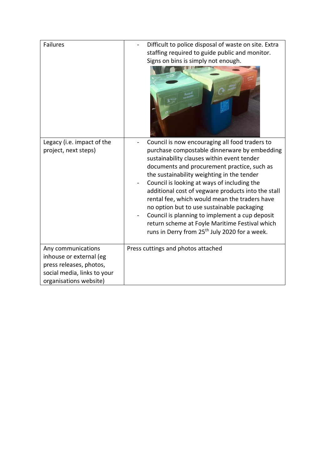| <b>Failures</b>                                                                                                                   | Difficult to police disposal of waste on site. Extra<br>staffing required to guide public and monitor.<br>Signs on bins is simply not enough.                                                                                                                                                                                                                                                                                                                                                                                                                                                                  |
|-----------------------------------------------------------------------------------------------------------------------------------|----------------------------------------------------------------------------------------------------------------------------------------------------------------------------------------------------------------------------------------------------------------------------------------------------------------------------------------------------------------------------------------------------------------------------------------------------------------------------------------------------------------------------------------------------------------------------------------------------------------|
| Legacy (i.e. impact of the<br>project, next steps)                                                                                | Council is now encouraging all food traders to<br>purchase compostable dinnerware by embedding<br>sustainability clauses within event tender<br>documents and procurement practice, such as<br>the sustainability weighting in the tender<br>Council is looking at ways of including the<br>additional cost of vegware products into the stall<br>rental fee, which would mean the traders have<br>no option but to use sustainable packaging<br>Council is planning to implement a cup deposit<br>return scheme at Foyle Maritime Festival which<br>runs in Derry from 25 <sup>th</sup> July 2020 for a week. |
| Any communications<br>inhouse or external (eg<br>press releases, photos,<br>social media, links to your<br>organisations website) | Press cuttings and photos attached                                                                                                                                                                                                                                                                                                                                                                                                                                                                                                                                                                             |